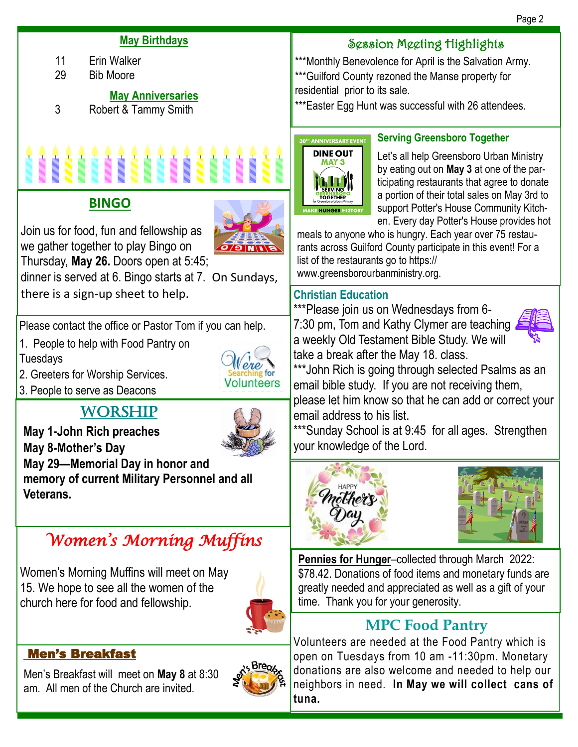#### **May Birthdays**

- 11 Erin Walker
- 29 Bib Moore

#### **May Anniversaries**

3 Robert & Tammy Smith



## **BINGO**



dinner is served at 6. Bingo starts at 7. On Sundays, there is a sign-up sheet to help.

Please contact the office or Pastor Tom if you can help.

- 1. People to help with Food Pantry on Tuesdays
- 2. Greeters for Worship Services.
- 3. People to serve as Deacons

# **WORSHIP**



**Volunteers** 

**May 1-John Rich preaches May 8-Mother's Day May 29—Memorial Day in honor and memory of current Military Personnel and all Veterans.** 

# *Women's Morning Muffins*

Women's Morning Muffins will meet on May 15. We hope to see all the women of the church here for food and fellowship.



## Men's Breakfast

Men's Breakfast will meet on **May 8** at 8:30 am. All men of the Church are invited.



## Session Meeting Highlights

\*\*\*Monthly Benevolence for April is the Salvation Army. \*\*\*Guilford County rezoned the Manse property for residential prior to its sale.

\*\*\*Easter Egg Hunt was successful with 26 attendees.



## **Serving Greensboro Together**

Let's all help Greensboro Urban Ministry by eating out on **May 3** at one of the participating restaurants that agree to donate a portion of their total sales on May 3rd to support Potter's House Community Kitchen. Every day Potter's House provides hot

meals to anyone who is hungry. Each year over 75 restaurants across Guilford County participate in this event! For a list of the restaurants go to https:// www.greensborourbanministry.org.

## **Christian Education**

\*\*\*Please join us on Wednesdays from 6- 7:30 pm, Tom and Kathy Clymer are teaching a weekly Old Testament Bible Study. We will take a break after the May 18. class.



\*\*\*John Rich is going through selected Psalms as an email bible study. If you are not receiving them, please let him know so that he can add or correct your email address to his list.

\*\*\*Sunday School is at 9:45 for all ages. Strengthen your knowledge of the Lord.





**Pennies for Hunger-collected through March 2022:** \$78.42. Donations of food items and monetary funds are greatly needed and appreciated as well as a gift of your time. Thank you for your generosity.

# **MPC Food Pantry**

Volunteers are needed at the Food Pantry which is open on Tuesdays from 10 am -11:30pm. Monetary donations are also welcome and needed to help our neighbors in need. **In May we will collect cans of tuna.**